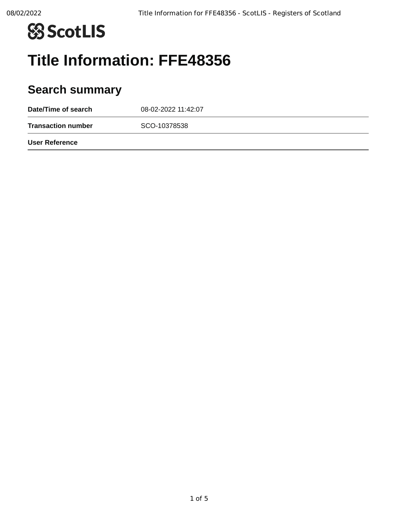

# **Title Information: FFE48356**

# **Search summary**

| Date/Time of search       | 08-02-2022 11:42:07 |  |
|---------------------------|---------------------|--|
| <b>Transaction number</b> | SCO-10378538        |  |
| <b>User Reference</b>     |                     |  |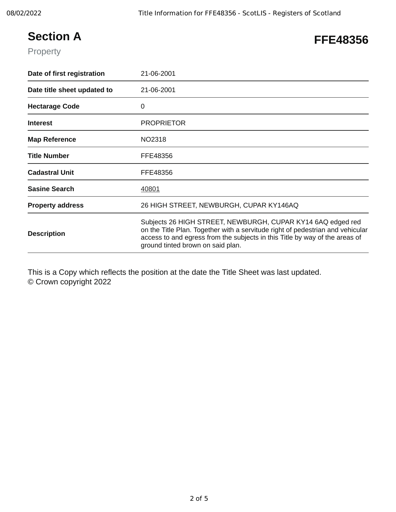## **Section A**

#### **FFE48356**

Property

| Date of first registration  | 21-06-2001                                                                                                                                                                                                                                                        |
|-----------------------------|-------------------------------------------------------------------------------------------------------------------------------------------------------------------------------------------------------------------------------------------------------------------|
| Date title sheet updated to | 21-06-2001                                                                                                                                                                                                                                                        |
| <b>Hectarage Code</b>       | 0                                                                                                                                                                                                                                                                 |
| <b>Interest</b>             | <b>PROPRIETOR</b>                                                                                                                                                                                                                                                 |
| <b>Map Reference</b>        | NO2318                                                                                                                                                                                                                                                            |
| <b>Title Number</b>         | FFE48356                                                                                                                                                                                                                                                          |
| <b>Cadastral Unit</b>       | FFE48356                                                                                                                                                                                                                                                          |
| <b>Sasine Search</b>        | 40801                                                                                                                                                                                                                                                             |
| <b>Property address</b>     | 26 HIGH STREET, NEWBURGH, CUPAR KY146AQ                                                                                                                                                                                                                           |
| <b>Description</b>          | Subjects 26 HIGH STREET, NEWBURGH, CUPAR KY14 6AQ edged red<br>on the Title Plan. Together with a servitude right of pedestrian and vehicular<br>access to and egress from the subjects in this Title by way of the areas of<br>ground tinted brown on said plan. |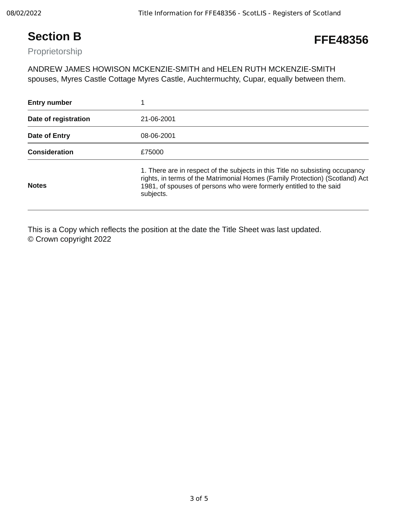### **Section B**

### **FFE48356**

Proprietorship

ANDREW JAMES HOWISON MCKENZIE-SMITH and HELEN RUTH MCKENZIE-SMITH spouses, Myres Castle Cottage Myres Castle, Auchtermuchty, Cupar, equally between them.

| <b>Entry number</b>  |                                                                                                                                                                                                                                                  |
|----------------------|--------------------------------------------------------------------------------------------------------------------------------------------------------------------------------------------------------------------------------------------------|
| Date of registration | 21-06-2001                                                                                                                                                                                                                                       |
| Date of Entry        | 08-06-2001                                                                                                                                                                                                                                       |
| <b>Consideration</b> | £75000                                                                                                                                                                                                                                           |
| <b>Notes</b>         | 1. There are in respect of the subjects in this Title no subsisting occupancy<br>rights, in terms of the Matrimonial Homes (Family Protection) (Scotland) Act<br>1981, of spouses of persons who were formerly entitled to the said<br>subjects. |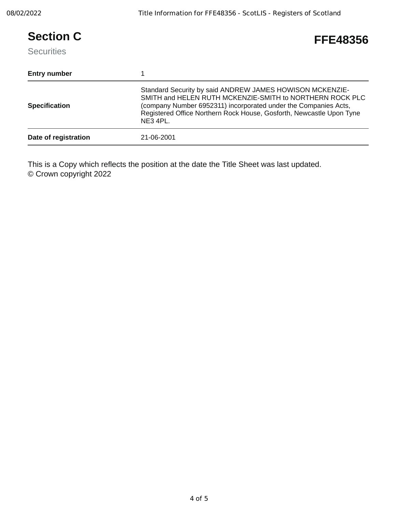| <b>Section C</b><br><b>Securities</b> | FFE48356                                                                                                                                                                                                                                                                      |
|---------------------------------------|-------------------------------------------------------------------------------------------------------------------------------------------------------------------------------------------------------------------------------------------------------------------------------|
| <b>Entry number</b>                   |                                                                                                                                                                                                                                                                               |
| <b>Specification</b>                  | Standard Security by said ANDREW JAMES HOWISON MCKENZIE-<br>SMITH and HELEN RUTH MCKENZIE-SMITH to NORTHERN ROCK PLC<br>(company Number 6952311) incorporated under the Companies Acts,<br>Registered Office Northern Rock House, Gosforth, Newcastle Upon Tyne<br>$NE3$ 4PL. |
| Date of registration                  | 21-06-2001                                                                                                                                                                                                                                                                    |